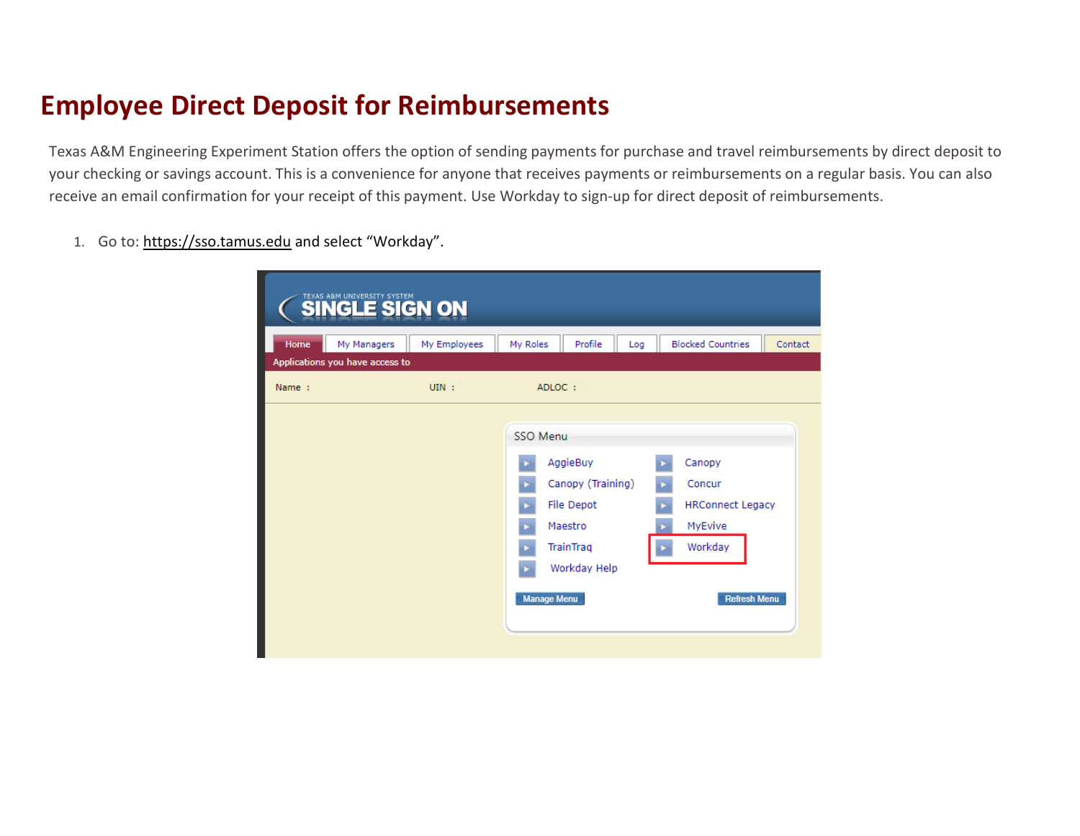## **Employee Direct Deposit for Reimbursements**

Texas A&M Engineering Experiment Station offers the option of sending payments for purchase and travel reimbursements by direct deposit to your checking or savings account. This is a convenience for anyone that receives payments or reimbursements on a regular basis. You can also receive an email confirmation for your receipt of this payment. Use Workday to sign-up for direct deposit of reimbursements.

1. Go to: [https://sso.tamus.edu](https://sso.tamus.edu/) and select "Workday".

| Home  | My Managers<br>Applications you have access to | My Employees | My Roles                       | Profile                                                                             | Log | <b>Blocked Countries</b>                                                                 | Contact |
|-------|------------------------------------------------|--------------|--------------------------------|-------------------------------------------------------------------------------------|-----|------------------------------------------------------------------------------------------|---------|
| Name: |                                                | $UIN$ :      |                                | ADLOC:                                                                              |     |                                                                                          |         |
|       |                                                |              | SSO Menu<br><b>Manage Menu</b> | AggieBuy<br>Canopy (Training)<br>File Depot<br>Maestro<br>TrainTrag<br>Workday Help |     | Canopy<br>Concur<br><b>HRConnect Legacy</b><br>MyEvive<br>Workday<br><b>Refresh Menu</b> |         |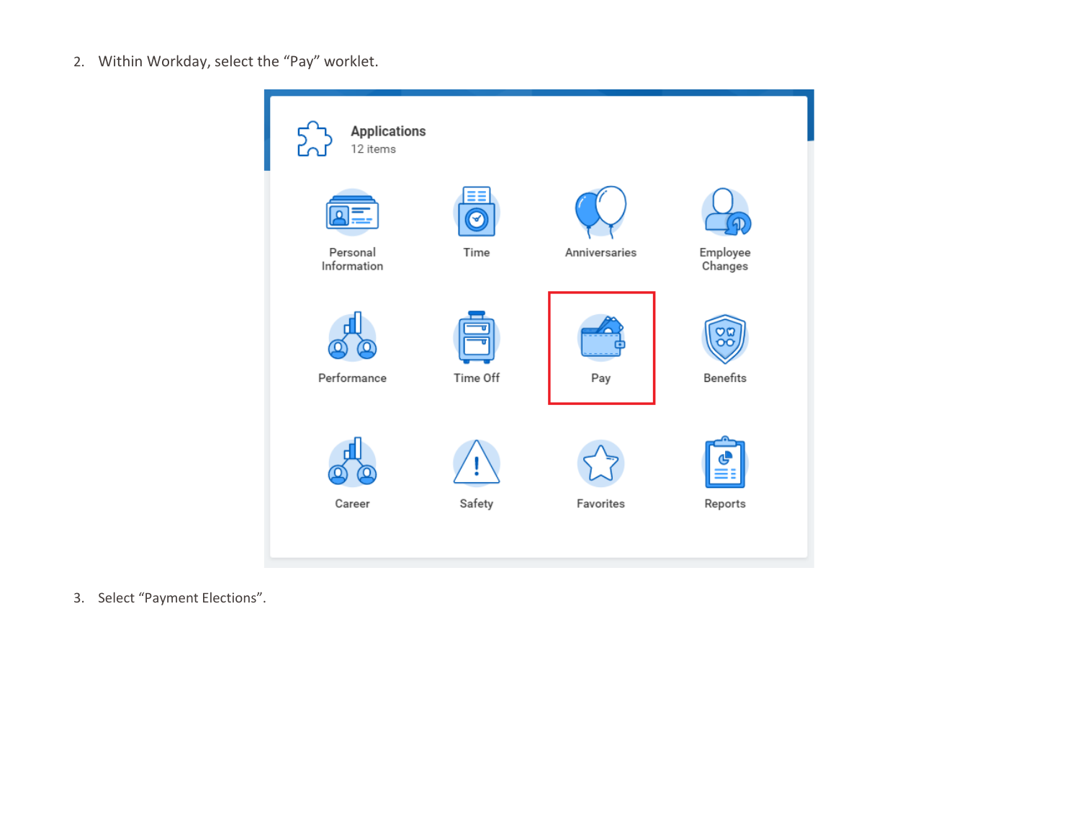2. Within Workday, select the "Pay" worklet.



3. Select "Payment Elections".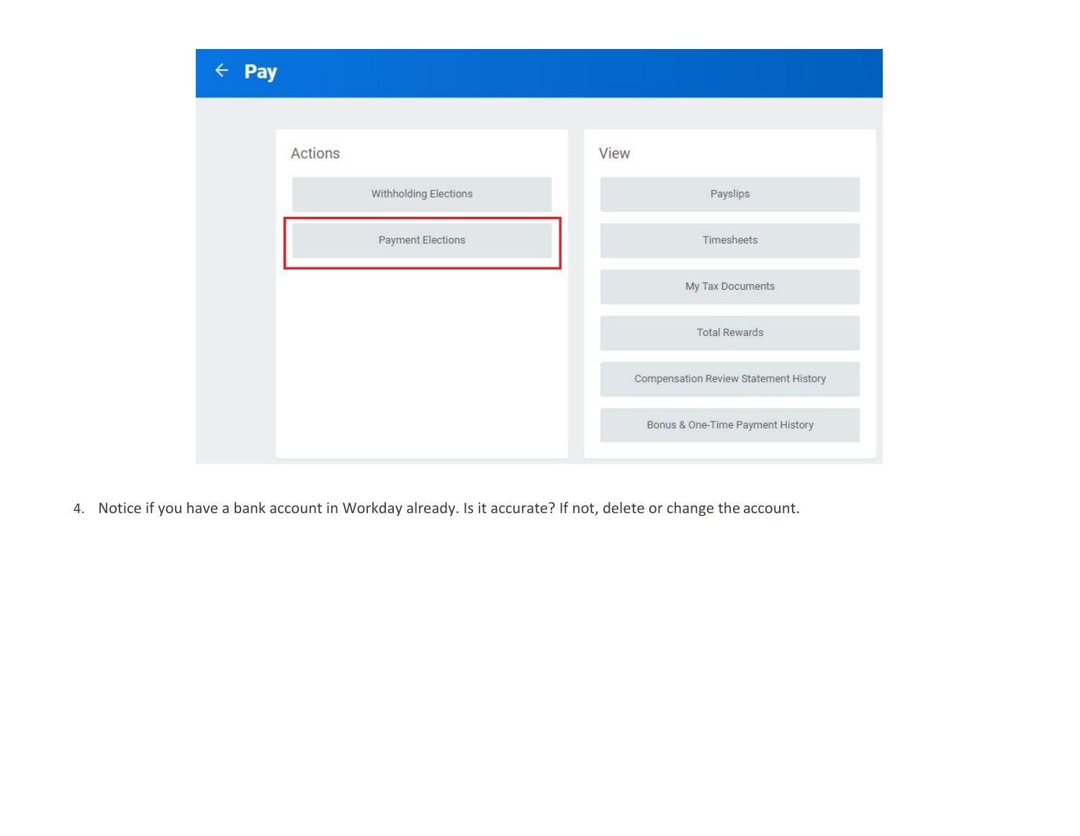

4. Notice if you have a bank account in Workday already. Is it accurate? If not, delete or change the account.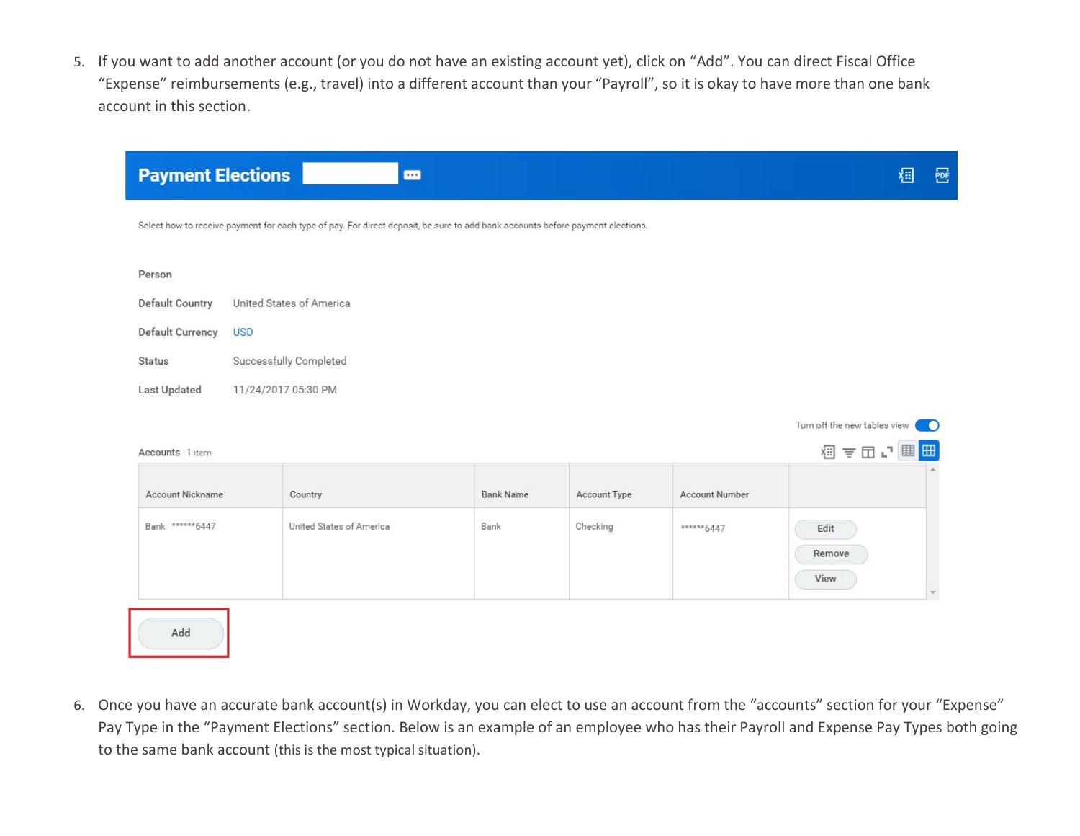5. If you want to add another account (or you do not have an existing account yet), click on "Add". You can direct Fiscal Office "Expense" reimbursements (e.g., travel) into a different account than your "Payroll", so it is okay to have more than one bank account in this section.

| <b>Payment Elections</b> | $\blacksquare$                                                                                                                 |                  |              |                       | 椢<br>፼                            |
|--------------------------|--------------------------------------------------------------------------------------------------------------------------------|------------------|--------------|-----------------------|-----------------------------------|
|                          | Select how to receive payment for each type of pay. For direct deposit, be sure to add bank accounts before payment elections. |                  |              |                       |                                   |
| Person                   |                                                                                                                                |                  |              |                       |                                   |
| Default Country          | United States of America                                                                                                       |                  |              |                       |                                   |
| Default Currency         | <b>USD</b>                                                                                                                     |                  |              |                       |                                   |
| <b>Status</b>            | Successfully Completed                                                                                                         |                  |              |                       |                                   |
| Last Updated             | 11/24/2017 05:30 PM                                                                                                            |                  |              |                       |                                   |
|                          |                                                                                                                                |                  |              |                       | Turn off the new tables view<br>Ð |
| Accounts 1 item          |                                                                                                                                |                  |              |                       | 個言団い囲田                            |
| <b>Account Nickname</b>  | Country                                                                                                                        | <b>Bank Name</b> | Account Type | <b>Account Number</b> |                                   |
| Bank ******6447          | United States of America                                                                                                       | Bank             | Checking     | ******6447            | Edit                              |
|                          |                                                                                                                                |                  |              |                       | Remove                            |
|                          |                                                                                                                                |                  |              |                       | View                              |
| Add                      |                                                                                                                                |                  |              |                       |                                   |

6. Once you have an accurate bank account(s) in Workday, you can elect to use an account from the "accounts" section for your "Expense" Pay Type in the "Payment Elections" section. Below is an example of an employee who has their Payroll and Expense Pay Types both going to the same bank account (this is the most typical situation).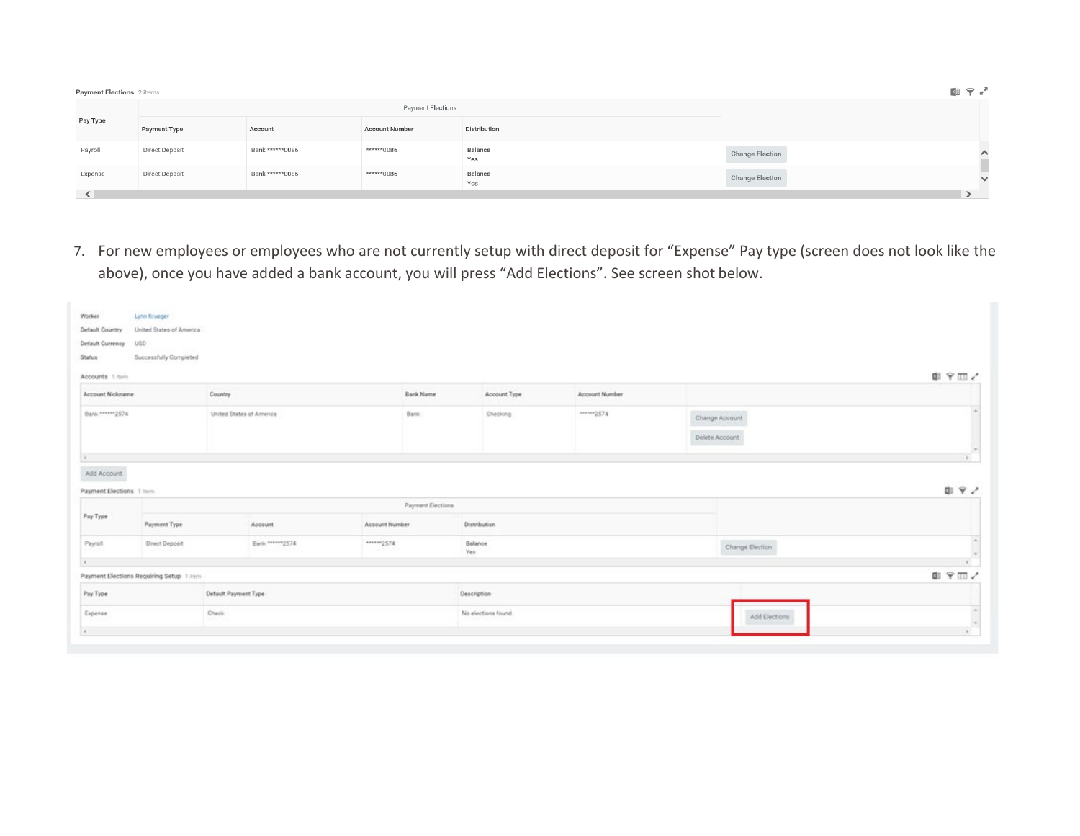| Payment Elections 2 items |                |                 |                       |                |                 | <b>KB</b> 〒 * |
|---------------------------|----------------|-----------------|-----------------------|----------------|-----------------|---------------|
|                           |                |                 | Payment Elections     |                |                 |               |
| Pay Type                  | Payment Type   | Account         | <b>Account Number</b> | Distribution   |                 |               |
| Payroll                   | Direct Deposit | Bank ******0086 | ******0086            | Balance<br>Yes | Change Election | ∧             |
| Expense                   | Direct Deposit | Bank ******0086 | ******0086            | Balance<br>Yes | Change Election | $\checkmark$  |
| ≺                         |                |                 |                       |                |                 |               |

7. For new employees or employees who are not currently setup with direct deposit for "Expense" Pay type (screen does not look like the above), once you have added a bank account, you will press "Add Elections". See screen shot below.

| Worker.                                | Lynn Krueger                             |                          |                   |                     |                |                 |                   |
|----------------------------------------|------------------------------------------|--------------------------|-------------------|---------------------|----------------|-----------------|-------------------|
| Default Country                        | United States of America                 |                          |                   |                     |                |                 |                   |
| Default Currency                       | USD                                      |                          |                   |                     |                |                 |                   |
| Status                                 | Successfully Completed                   |                          |                   |                     |                |                 |                   |
| Accounts 1 nem                         |                                          |                          |                   |                     |                |                 | ■ ♀Ⅲ♪             |
| Account Nickname                       |                                          | Country                  | Bank Name         | Account Type        | Account Number |                 |                   |
| Bank ******* 2574                      |                                          | United States of America | Bank              | <b>Checking</b>     | mmm2574        | Change Account  |                   |
|                                        |                                          |                          |                   |                     |                | Delete Account: |                   |
| a communication of the communication   |                                          |                          |                   |                     |                |                 | $\frac{\mu}{\mu}$ |
| Add Account<br>Payment Elections 1 Nem |                                          |                          | Payment Elections |                     |                |                 | □ マノ              |
| Pay Type                               | Payment Type                             | Account                  | Account Number    | Distribution        |                |                 |                   |
| Payroll                                | Direct Deposit                           | Bank ******* 2574        | ******2574        | Balance<br>Yes      |                | Change Election |                   |
| $\epsilon$                             |                                          |                          |                   |                     |                |                 |                   |
|                                        | Payment Elections Requiring Setup 1 item |                          |                   |                     |                |                 | ■ 〒Ⅲ√             |
| Pay Type                               |                                          | Default Payment Type     |                   | Description         |                |                 |                   |
| Expense                                |                                          | Check:                   |                   | No elections found. |                | Add Elections   |                   |
| 4.7                                    |                                          |                          |                   |                     |                |                 | W.                |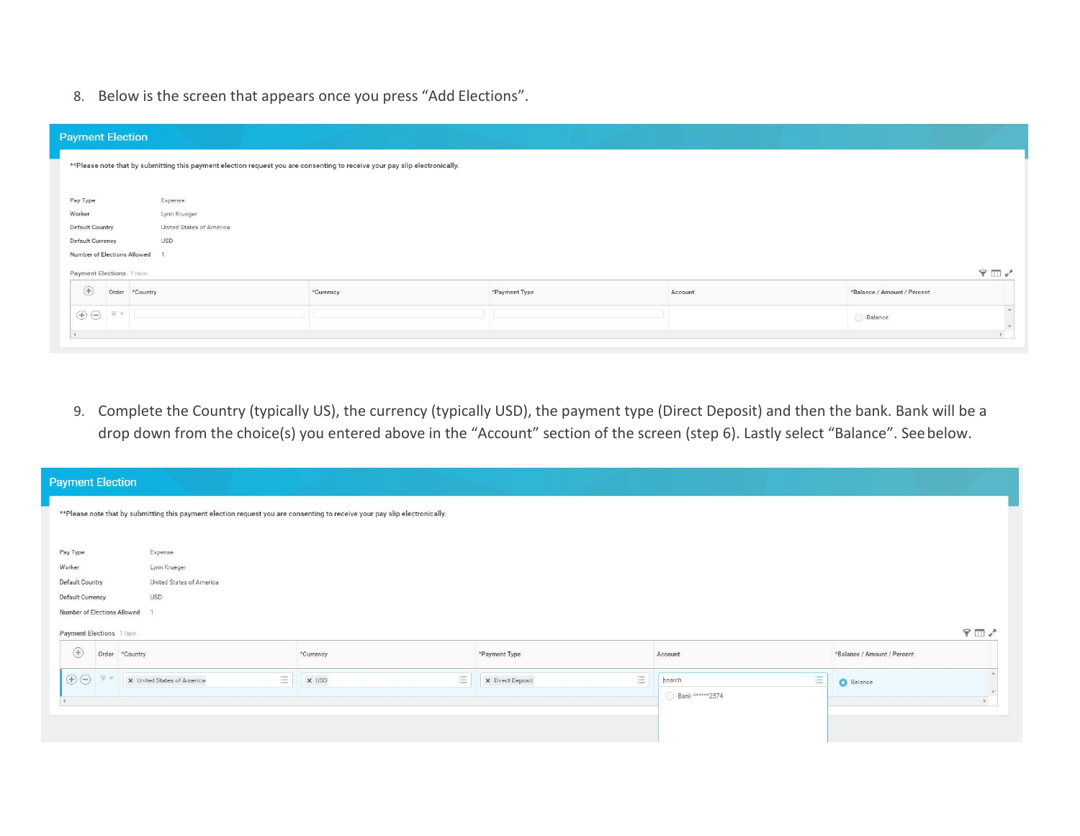8. Below is the screen that appears once you press "Add Elections".

| <b>Payment Election</b>                                                                              |                |                          |                                                                                                                            |               |         |                             |
|------------------------------------------------------------------------------------------------------|----------------|--------------------------|----------------------------------------------------------------------------------------------------------------------------|---------------|---------|-----------------------------|
|                                                                                                      |                |                          | **Please note that by submitting this payment election request you are consenting to receive your pay slip electronically. |               |         |                             |
|                                                                                                      |                |                          |                                                                                                                            |               |         |                             |
| Pay Type                                                                                             |                | Expense                  |                                                                                                                            |               |         |                             |
| Worker                                                                                               |                | Lynn Krueger             |                                                                                                                            |               |         |                             |
| <b>Default Country</b>                                                                               |                | United States of America |                                                                                                                            |               |         |                             |
| Default Currency                                                                                     |                | <b>USD</b>               |                                                                                                                            |               |         |                             |
| Number of Elections Allowed                                                                          |                |                          |                                                                                                                            |               |         |                             |
| Payment Elections 1 item                                                                             |                |                          |                                                                                                                            |               |         | $9 \text{ m}$               |
| $\bigoplus$                                                                                          | Order *Country |                          | *Currency                                                                                                                  | *Payment Type | Account | *Balance / Amount / Percent |
| $\textcircled{\scriptsize{+}} \odot \textcircled{\scriptsize{+}} \circ \textcircled{\scriptsize{+}}$ |                |                          |                                                                                                                            |               |         | Balance<br>$\rightarrow$    |
| ×                                                                                                    |                |                          |                                                                                                                            |               |         | s.                          |

9. Complete the Country (typically US), the currency (typically USD), the payment type (Direct Deposit) and then the bank. Bank will be a drop down from the choice(s) you entered above in the "Account" section of the screen (step 6). Lastly select "Balance". Seebelow.

| <b>Payment Election</b>          |                                 |                                                                                                                             |                       |                 |                             |
|----------------------------------|---------------------------------|-----------------------------------------------------------------------------------------------------------------------------|-----------------------|-----------------|-----------------------------|
|                                  |                                 | ** Please note that by submitting this payment election request you are consenting to receive your pay slip electronically. |                       |                 |                             |
| Pay Type                         | Expense                         |                                                                                                                             |                       |                 |                             |
| Worker                           | Lynn Krueger                    |                                                                                                                             |                       |                 |                             |
| Default Country                  | United States of America        |                                                                                                                             |                       |                 |                             |
| Default Currency                 | <b>USD</b>                      |                                                                                                                             |                       |                 |                             |
| Number of Elections Allowed      |                                 |                                                                                                                             |                       |                 |                             |
| Payment Elections 1 item         |                                 |                                                                                                                             |                       |                 | $9 \text{ m/s}$             |
| $\bigoplus$<br>Order<br>*Country |                                 | *Currency                                                                                                                   | *Payment Type         | Account         | *Balance / Amount / Percent |
| $\bigoplus$<br>平                 | 這<br>X United States of America | 三<br>X USD                                                                                                                  | E<br>X Direct Deposit | E<br>search     | <b>C</b> Balance            |
|                                  |                                 |                                                                                                                             |                       | Bank ******2574 |                             |
|                                  |                                 |                                                                                                                             |                       |                 |                             |
|                                  |                                 |                                                                                                                             |                       |                 |                             |